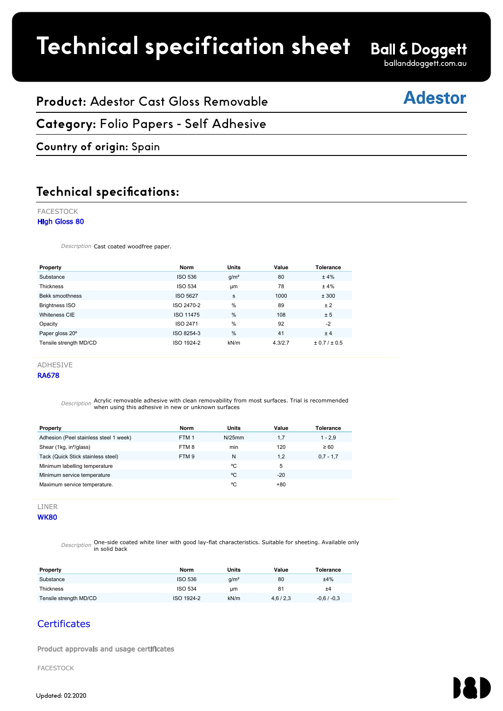# **Technical specification sheet**

ballanddoggett.com.au

# **Adestor**

## **Product:** Adestor Cast Gloss Removable

#### **Category:** Folio Papers - Self Adhesive FACESTOCK

### **Country of origin:** Spain

#### **Technical specifications:** A Company of the Gloss 80 and the Gloss 80 million and the Company of the Company of the Company of the Company of the Company of the Company of the Company of the Company of the Company of the Company of the Company of th

#### FACESTOCK

#### High Gloss 80

Description Cast coated woodfree paper.

| Property                                                                                                   | <b>Norm</b>      | <b>Units</b>     | Value   | <b>Tolerance</b> |
|------------------------------------------------------------------------------------------------------------|------------------|------------------|---------|------------------|
| Substance                                                                                                  | <b>ISO 536</b>   | q/m <sup>2</sup> | 80      | ±4%              |
| <b>Thickness</b>                                                                                           | <b>ISO 534</b>   | <b>um</b>        | 78      | ±4%              |
| Bekk smoothness                                                                                            | <b>ISO 5627</b>  | s                | 1000    | ± 300            |
| <b>Brightness ISO</b>                                                                                      | ISO 2470-2       | %                | 89      | ±2               |
| Whiteness CIE                                                                                              | ISO 11475        | %                | 108     | ± 5              |
| Opacity                                                                                                    | <b>ISO 2471</b>  | %                | 92      | $-2$             |
| Paper gloss 20°                                                                                            | ISO 8254-3       | %                | 41      | ±4               |
| Tensile strength MD/CD                                                                                     | ISO 1924-2       | kN/m             | 4.3/2.7 | ± 0.7 / ± 0.5    |
|                                                                                                            |                  |                  |         |                  |
| <b>ADHESIVE</b>                                                                                            |                  |                  |         |                  |
| <b>RA678</b>                                                                                               |                  |                  |         |                  |
|                                                                                                            |                  |                  |         |                  |
|                                                                                                            |                  |                  |         |                  |
| Acrylic removable adhesive with clean removability from most surfaces. Trial is recommended<br>Description |                  |                  |         |                  |
| when using this adhesive in new or unknown surfaces                                                        |                  |                  |         |                  |
|                                                                                                            |                  |                  |         |                  |
| Property                                                                                                   | <b>Norm</b>      | <b>Units</b>     | Value   | <b>Tolerance</b> |
| Adhesion (Peel stainless steel 1 week)                                                                     | FTM <sub>1</sub> | $N/25$ mm        | 1,7     | $1 - 2.9$        |
| Shear (1kg, in <sup>2</sup> /glass)                                                                        | FTM8             | min              | 120     | $\geq 60$        |
| Tack (Quick Stick stainless steel)                                                                         | FTM <sub>9</sub> | N                | 1,2     | $0.7 - 1.7$      |
| Minimum labelling temperature                                                                              |                  | °C               | 5       |                  |
|                                                                                                            |                  |                  |         |                  |

**Property Norm Units Value Tolerance**

#### RA678

| Property                               | Norm             | Units  | Value | Tolerance   |
|----------------------------------------|------------------|--------|-------|-------------|
| Adhesion (Peel stainless steel 1 week) | FTM <sub>1</sub> | N/25mm | 1.7   | $1 - 2.9$   |
| Shear (1kg, in <sup>2</sup> /glass)    | FTM8             | min    | 120   | $\geq 60$   |
| Tack (Quick Stick stainless steel)     | FTM <sub>9</sub> | N      | 1.2   | $0.7 - 1.7$ |
| Minimum labelling temperature          |                  | °C     | 5     |             |
| Minimum service temperature            |                  | °C     | $-20$ |             |
| Maximum service temperature.           |                  | °C     | $+80$ |             |

#### LINER **WK80**

Description One-side coated white liner with good lay-flat characteristics. Suitable for sheeting. Available only in solid back

| Property               | Norm           | Units            | Value   | Tolerance    |
|------------------------|----------------|------------------|---------|--------------|
| Substance              | <b>ISO 536</b> | g/m <sup>2</sup> | 80      | ±4%          |
| Thickness              | <b>ISO 534</b> | um               | 81      | ±4           |
| Tensile strength MD/CD | ISO 1924-2     | kN/m             | 4,6/2,3 | $-0.6/ -0.3$ |

### **Certificates**

Product approvals and usage certificates

FACESTOCK